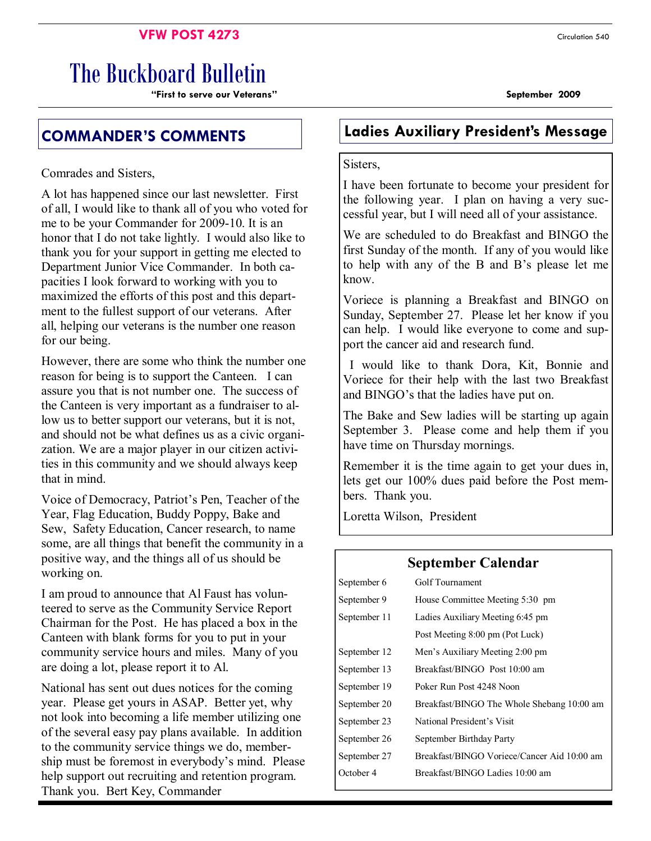#### **VFW POST 4273** Circulation 540

# The Buckboard Bulletin

**"First to serve our Veterans" September 2009** 

# **COMMANDER'S COMMENTS Ladies Auxiliary President's Message**

Comrades and Sisters,

A lot has happened since our last newsletter. First of all, I would like to thank all of you who voted for me to be your Commander for 2009-10. It is an honor that I do not take lightly. I would also like to thank you for your support in getting me elected to Department Junior Vice Commander. In both capacities I look forward to working with you to maximized the efforts of this post and this department to the fullest support of our veterans. After all, helping our veterans is the number one reason for our being.

However, there are some who think the number one reason for being is to support the Canteen. I can assure you that is not number one. The success of the Canteen is very important as a fundraiser to allow us to better support our veterans, but it is not, and should not be what defines us as a civic organization. We are a major player in our citizen activities in this community and we should always keep that in mind.

Voice of Democracy, Patriot's Pen, Teacher of the Year, Flag Education, Buddy Poppy, Bake and Sew, Safety Education, Cancer research, to name some, are all things that benefit the community in a positive way, and the things all of us should be working on.

I am proud to announce that Al Faust has volunteered to serve as the Community Service Report Chairman for the Post. He has placed a box in the Canteen with blank forms for you to put in your community service hours and miles. Many of you are doing a lot, please report it to Al.

National has sent out dues notices for the coming year. Please get yours in ASAP. Better yet, why not look into becoming a life member utilizing one of the several easy pay plans available. In addition to the community service things we do, membership must be foremost in everybody's mind. Please help support out recruiting and retention program. Thank you. Bert Key, Commander

#### Sisters,

I have been fortunate to become your president for the following year. I plan on having a very successful year, but I will need all of your assistance.

We are scheduled to do Breakfast and BINGO the first Sunday of the month. If any of you would like to help with any of the B and B's please let me know.

Voriece is planning a Breakfast and BINGO on Sunday, September 27. Please let her know if you can help. I would like everyone to come and support the cancer aid and research fund.

 I would like to thank Dora, Kit, Bonnie and Voriece for their help with the last two Breakfast and BINGO's that the ladies have put on.

The Bake and Sew ladies will be starting up again September 3. Please come and help them if you have time on Thursday mornings.

Remember it is the time again to get your dues in, lets get our 100% dues paid before the Post members. Thank you.

Loretta Wilson, President

#### **September Calendar**

| Golf Tournament                             |  |  |
|---------------------------------------------|--|--|
| House Committee Meeting 5:30 pm             |  |  |
| Ladies Auxiliary Meeting 6:45 pm            |  |  |
| Post Meeting 8:00 pm (Pot Luck)             |  |  |
| Men's Auxiliary Meeting 2:00 pm             |  |  |
| Breakfast/BINGO Post 10:00 am               |  |  |
| Poker Run Post 4248 Noon                    |  |  |
| Breakfast/BINGO The Whole Shebang 10:00 am  |  |  |
| National President's Visit                  |  |  |
| September Birthday Party                    |  |  |
| Breakfast/BINGO Voriece/Cancer Aid 10:00 am |  |  |
| Breakfast/BINGO Ladies 10:00 am             |  |  |
|                                             |  |  |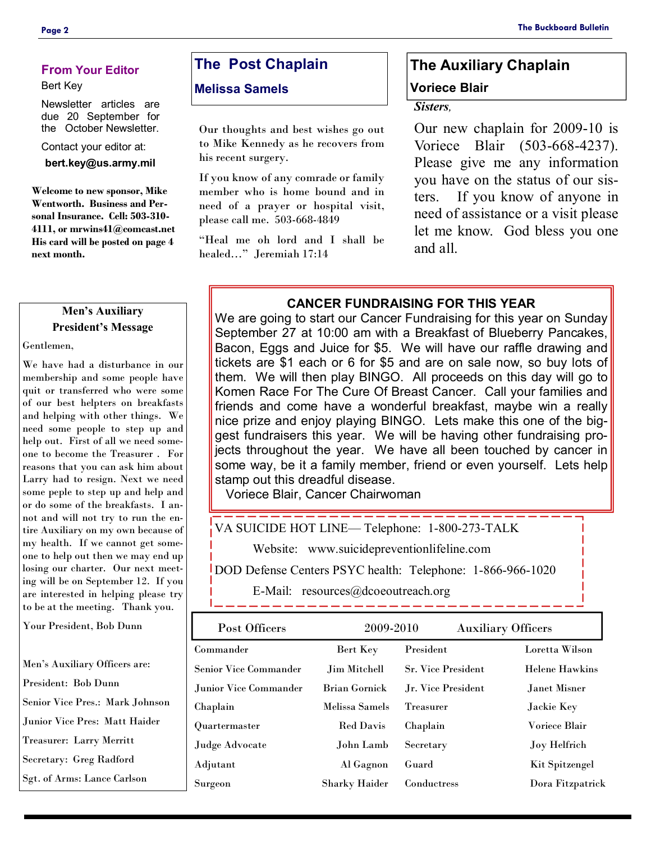#### **From Your Editor**

#### Bert Key

Newsletter articles are due 20 September for the October Newsletter.

Contact your editor at:

**bert.key@us.army.mil** 

**Welcome to new sponsor, Mike Wentworth. Business and Personal Insurance. Cell: 503-310- 4111, or mrwins41@comcast.net His card will be posted on page 4 next month.** 

#### **Men's Auxiliary President's Message**

Gentlemen,

We have had a disturbance in our membership and some people have quit or transferred who were some of our best helpters on breakfasts and helping with other things. We need some people to step up and help out. First of all we need someone to become the Treasurer . For reasons that you can ask him about Larry had to resign. Next we need some peple to step up and help and or do some of the breakfasts. I annot and will not try to run the entire Auxiliary on my own because of my health. If we cannot get someone to help out then we may end up losing our charter. Our next meeting will be on September 12. If you are interested in helping please try to be at the meeting. Thank you.

Your President, Bob Dunn

Men's Auxiliary Officers are: President: Bob Dunn Senior Vice Pres.: Mark Johnson Junior Vice Pres: Matt Haider Treasurer: Larry Merritt Secretary: Greg Radford Sgt. of Arms: Lance Carlson

### **The Post Chaplain**

#### **Melissa Samels**

Our thoughts and best wishes go out to Mike Kennedy as he recovers from his recent surgery.

If you know of any comrade or family member who is home bound and in need of a prayer or hospital visit, please call me. 503-668-4849

"Heal me oh lord and I shall be healed…" Jeremiah 17:14

# **The Auxiliary Chaplain Voriece Blair**

#### *Sisters,*

Our new chaplain for 2009-10 is Voriece Blair (503-668-4237). Please give me any information you have on the status of our sisters. If you know of anyone in need of assistance or a visit please let me know. God bless you one and all.

#### **CANCER FUNDRAISING FOR THIS YEAR**

We are going to start our Cancer Fundraising for this year on Sunday September 27 at 10:00 am with a Breakfast of Blueberry Pancakes, Bacon, Eggs and Juice for \$5. We will have our raffle drawing and tickets are \$1 each or 6 for \$5 and are on sale now, so buy lots of them. We will then play BINGO. All proceeds on this day will go to Komen Race For The Cure Of Breast Cancer. Call your families and friends and come have a wonderful breakfast, maybe win a really nice prize and enjoy playing BINGO. Lets make this one of the biggest fundraisers this year. We will be having other fundraising projects throughout the year. We have all been touched by cancer in some way, be it a family member, friend or even yourself. Lets help stamp out this dreadful disease.

Voriece Blair, Cancer Chairwoman

VA SUICIDE HOT LINE— Telephone: 1-800-273-TALK

Website: www.suicidepreventionlifeline.com

DOD Defense Centers PSYC health: Telephone: 1-866-966-1020

E-Mail: resources@dcoeoutreach.org

| Post Officers          | 2009-2010            |                           | <b>Auxiliary Officers</b> |
|------------------------|----------------------|---------------------------|---------------------------|
| Commander              | Bert Key             | President                 | Loretta Wilson            |
| Senior Vice Commander  | Jim Mitchell         | <b>Sr. Vice President</b> | <b>Helene Hawkins</b>     |
| Junior Vice Commander. | <b>Brian Gornick</b> | Jr. Vice President        | Janet Misner              |
| Chaplain               | Melissa Samels       | <b>Treasurer</b>          | Jackie Key                |
| Quartermaster          | <b>Red Davis</b>     | Chaplain                  | Voriece Blair             |
| Judge Advocate         | John Lamb            | Secretary                 | <b>Joy Helfrich</b>       |
| Adjutant               | Al Gagnon            | Guard                     | Kit Spitzengel            |
| Surgeon                | <b>Sharky Haider</b> | Conductress               | Dora Fitzpatrick          |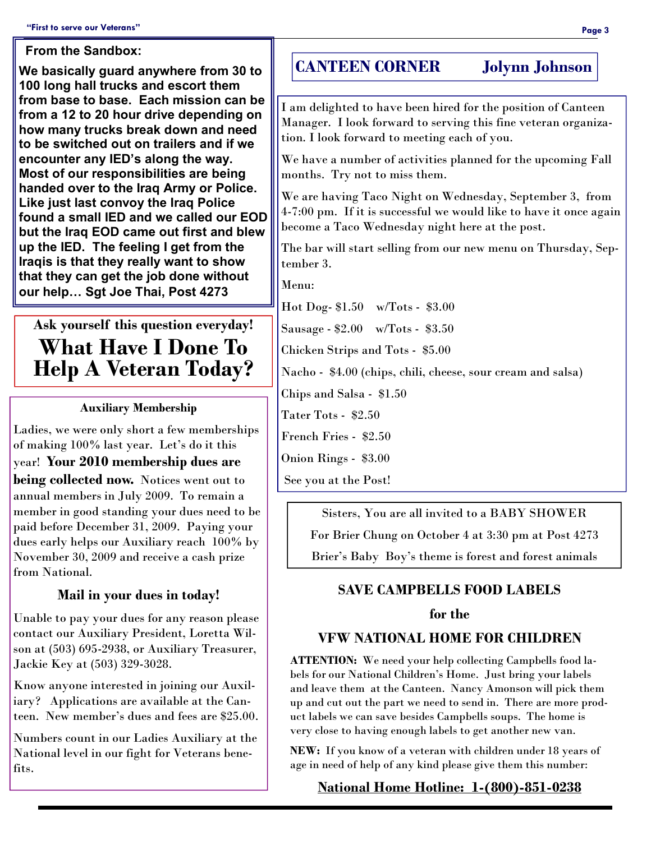#### **From the Sandbox:**

**We basically guard anywhere from 30 to 100 long hall trucks and escort them from base to base. Each mission can be from a 12 to 20 hour drive depending on how many trucks break down and need to be switched out on trailers and if we encounter any IED's along the way. Most of our responsibilities are being handed over to the Iraq Army or Police. Like just last convoy the Iraq Police found a small IED and we called our EOD but the Iraq EOD came out first and blew up the IED. The feeling I get from the Iraqis is that they really want to show that they can get the job done without our help… Sgt Joe Thai, Post 4273** 

# **Ask yourself this question everyday! What Have I Done To Help A Veteran Today?**

#### **Auxiliary Membership**

Ladies, we were only short a few memberships of making 100% last year. Let's do it this year! **Your 2010 membership dues are** 

**being collected now.** Notices went out to annual members in July 2009. To remain a member in good standing your dues need to be paid before December 31, 2009. Paying your dues early helps our Auxiliary reach 100% by November 30, 2009 and receive a cash prize from National.

#### **Mail in your dues in today!**

Unable to pay your dues for any reason please contact our Auxiliary President, Loretta Wilson at (503) 695-2938, or Auxiliary Treasurer, Jackie Key at (503) 329-3028.

Know anyone interested in joining our Auxiliary? Applications are available at the Canteen. New member's dues and fees are \$25.00.

Numbers count in our Ladies Auxiliary at the National level in our fight for Veterans benefits.

## **CANTEEN CORNER Jolynn Johnson**

I am delighted to have been hired for the position of Canteen Manager. I look forward to serving this fine veteran organization. I look forward to meeting each of you.

We have a number of activities planned for the upcoming Fall months. Try not to miss them.

We are having Taco Night on Wednesday, September 3, from 4-7:00 pm. If it is successful we would like to have it once again become a Taco Wednesday night here at the post.

The bar will start selling from our new menu on Thursday, September 3.

Menu:

Hot Dog- \$1.50 w/Tots - \$3.00

Sausage - \$2.00 w/Tots - \$3.50

Chicken Strips and Tots - \$5.00

Nacho - \$4.00 (chips, chili, cheese, sour cream and salsa)

Chips and Salsa - \$1.50

Tater Tots - \$2.50

French Fries - \$2.50

Onion Rings - \$3.00

See you at the Post!

Sisters, You are all invited to a BABY SHOWER For Brier Chung on October 4 at 3:30 pm at Post 4273

Brier's Baby Boy's theme is forest and forest animals

#### **SAVE CAMPBELLS FOOD LABELS**

#### **for the**

#### **VFW NATIONAL HOME FOR CHILDREN**

**ATTENTION:** We need your help collecting Campbells food labels for our National Children's Home. Just bring your labels and leave them at the Canteen. Nancy Amonson will pick them up and cut out the part we need to send in. There are more product labels we can save besides Campbells soups. The home is very close to having enough labels to get another new van.

**NEW:** If you know of a veteran with children under 18 years of age in need of help of any kind please give them this number:

#### **National Home Hotline: 1-(800)-851-0238**